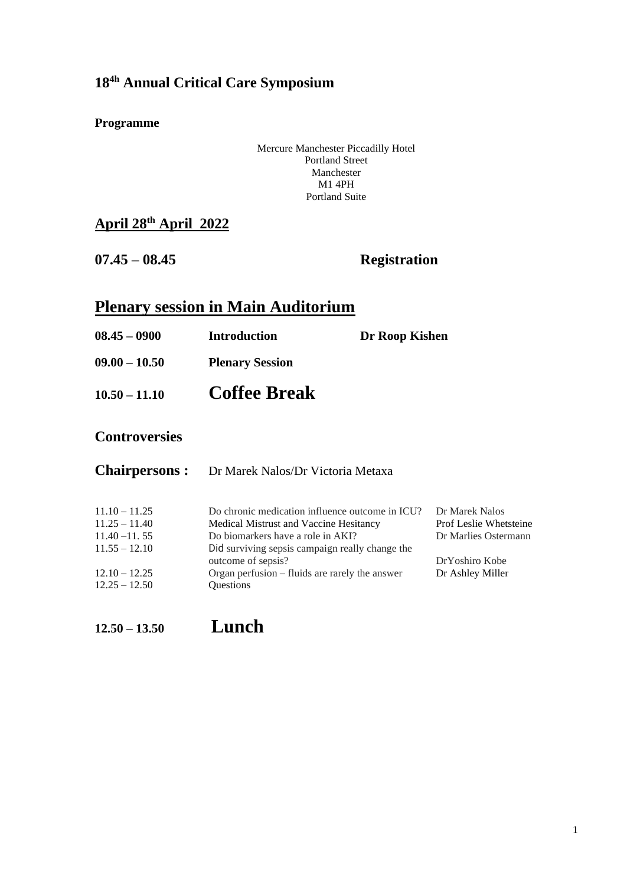#### **18 4h Annual Critical Care Symposium**

#### **Programme**

Mercure Manchester Piccadilly Hotel Portland Street Manchester M1 4PH Portland Suite

#### **April 28th April 2022**

**07.45 – 08.45 Registration**

# **Plenary session in Main Auditorium**

| $08.45 - 0900$  | <b>Introduction</b>    | Dr Roop Kishen |
|-----------------|------------------------|----------------|
| $09.00 - 10.50$ | <b>Plenary Session</b> |                |
| $10.50 - 11.10$ | <b>Coffee Break</b>    |                |

#### **Controversies**

| <b>Chairpersons:</b> | Dr Marek Nalos/Dr Victoria Metaxa                                     |                               |
|----------------------|-----------------------------------------------------------------------|-------------------------------|
| $11.10 - 11.25$      | Do chronic medication influence outcome in ICU?                       | Dr Marek Nalos                |
| $11.25 - 11.40$      | Medical Mistrust and Vaccine Hesitancy                                | <b>Prof Leslie Whetsteine</b> |
| $11.40 - 11.55$      | Do biomarkers have a role in AKI?                                     | Dr Marlies Ostermann          |
| $11.55 - 12.10$      | Did surviving sepsis campaign really change the<br>outcome of sepsis? | DrYoshiro Kobe                |
| $12.10 - 12.25$      | Organ perfusion – fluids are rarely the answer                        | Dr Ashley Miller              |
| $12.25 - 12.50$      | <b>Ouestions</b>                                                      |                               |

**12.50 – 13.50 Lunch**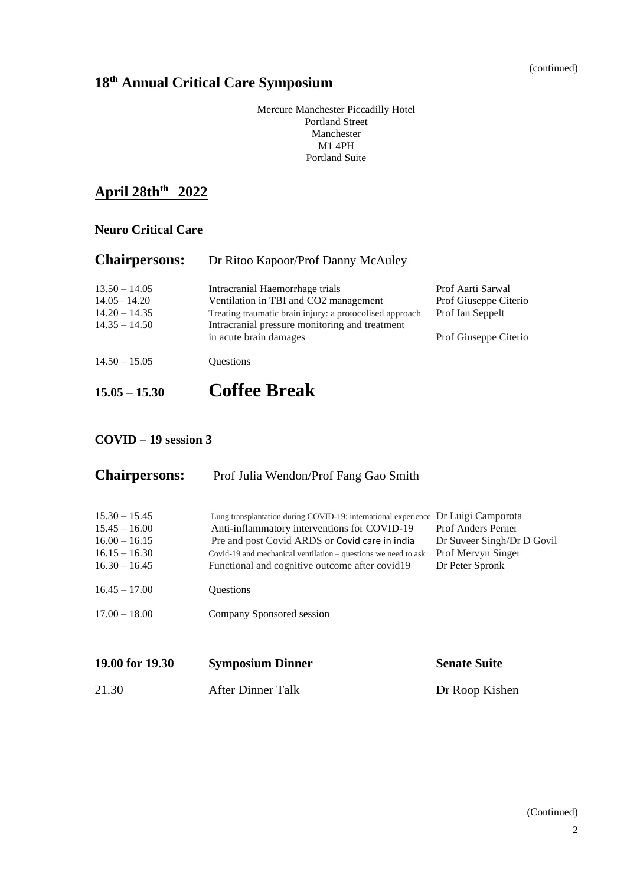(continued)

#### **18 th Annual Critical Care Symposium**

Mercure Manchester Piccadilly Hotel Portland Street Manchester M1 4PH Portland Suite

## **April 28thth 2022**

#### **Neuro Critical Care**

| <b>Chairpersons:</b> | Dr Ritoo Kapoor/Prof Danny McAuley                                       |                       |  |
|----------------------|--------------------------------------------------------------------------|-----------------------|--|
| $13.50 - 14.05$      | Intracranial Haemorrhage trials                                          | Prof Aarti Sarwal     |  |
| $14.05 - 14.20$      | Ventilation in TBI and CO2 management                                    | Prof Giuseppe Citerio |  |
| $14.20 - 14.35$      | Treating traumatic brain injury: a protocolised approach                 | Prof Ian Seppelt      |  |
| $14.35 - 14.50$      | Intracranial pressure monitoring and treatment<br>in acute brain damages | Prof Giuseppe Citerio |  |
| $14.50 - 15.05$      | <b>Ouestions</b>                                                         |                       |  |
| $15.05 - 15.30$      | <b>Coffee Break</b>                                                      |                       |  |

#### **COVID – 19 session 3**

| <b>Chairpersons:</b>                                                                        | Prof Julia Wendon/Prof Fang Gao Smith                                                                                                                                                                                                                                                   |                                                                                                                        |
|---------------------------------------------------------------------------------------------|-----------------------------------------------------------------------------------------------------------------------------------------------------------------------------------------------------------------------------------------------------------------------------------------|------------------------------------------------------------------------------------------------------------------------|
| $15.30 - 15.45$<br>$15.45 - 16.00$<br>$16.00 - 16.15$<br>$16.15 - 16.30$<br>$16.30 - 16.45$ | Lung transplantation during COVID-19: international experience<br>Anti-inflammatory interventions for COVID-19<br>Pre and post Covid ARDS or Covid care in india<br>Covid-19 and mechanical ventilation $-$ questions we need to ask<br>Functional and cognitive outcome after covid 19 | Dr Luigi Camporota<br><b>Prof Anders Perner</b><br>Dr Suveer Singh/Dr D Govil<br>Prof Mervyn Singer<br>Dr Peter Spronk |
| $16.45 - 17.00$                                                                             | Questions                                                                                                                                                                                                                                                                               |                                                                                                                        |
| $17.00 - 18.00$                                                                             | Company Sponsored session                                                                                                                                                                                                                                                               |                                                                                                                        |
|                                                                                             |                                                                                                                                                                                                                                                                                         |                                                                                                                        |
| 19.00 for 19.30                                                                             | <b>Symposium Dinner</b>                                                                                                                                                                                                                                                                 | <b>Senate Suite</b>                                                                                                    |
| 21.30                                                                                       | <b>After Dinner Talk</b>                                                                                                                                                                                                                                                                | Dr Roop Kishen                                                                                                         |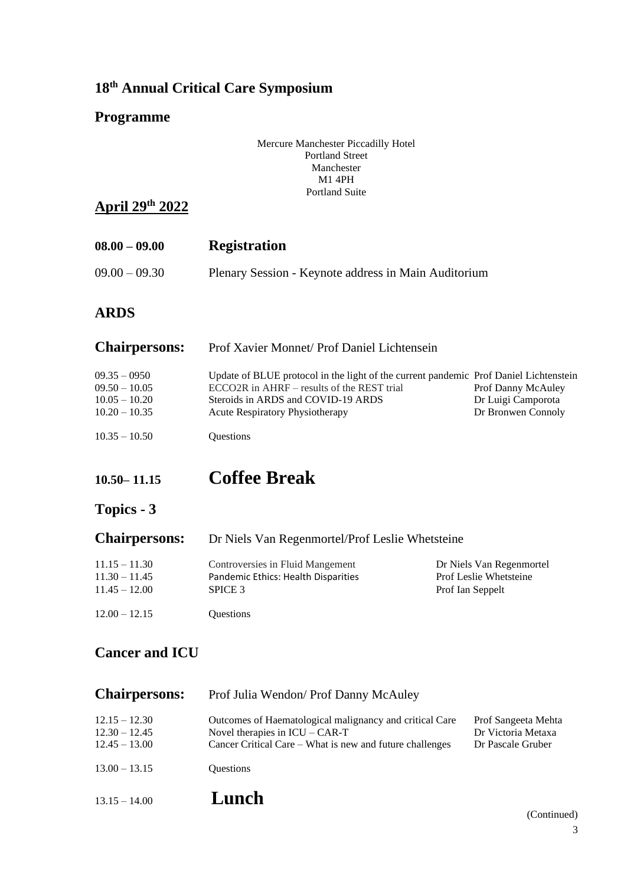### **18 th Annual Critical Care Symposium**

#### **Programme**

| Mercure Manchester Piccadilly Hotel |
|-------------------------------------|
| <b>Portland Street</b>              |
| Manchester                          |
| <b>M1 4PH</b>                       |
| <b>Portland Suite</b>               |
|                                     |

#### **April 29 th 2022**

| $08.00 - 09.00$ | <b>Registration</b>                                  |
|-----------------|------------------------------------------------------|
| $09.00 - 09.30$ | Plenary Session - Keynote address in Main Auditorium |

### **ARDS**

| <b>Chairpersons:</b> | Prof Xavier Monnet/ Prof Daniel Lichtensein                                           |                    |  |
|----------------------|---------------------------------------------------------------------------------------|--------------------|--|
| $09.35 - 0950$       | Update of BLUE protocol in the light of the current pandemic Prof Daniel Lichtenstein |                    |  |
| $09.50 - 10.05$      | ECCO2R in AHRF - results of the REST trial                                            | Prof Danny McAuley |  |
| $10.05 - 10.20$      | Steroids in ARDS and COVID-19 ARDS                                                    | Dr Luigi Camporota |  |
| $10.20 - 10.35$      | <b>Acute Respiratory Physiotherapy</b>                                                | Dr Bronwen Connoly |  |
| $10.35 - 10.50$      | <b>Ouestions</b>                                                                      |                    |  |

# **10.50– 11.15 Coffee Break**

# **Topics - 3**

| <b>Chairpersons:</b> | Dr Niels Van Regenmortel/Prof Leslie Whetsteine |                               |  |
|----------------------|-------------------------------------------------|-------------------------------|--|
| $11.15 - 11.30$      | Controversies in Fluid Mangement                | Dr Niels Van Regenmortel      |  |
| $11.30 - 11.45$      | Pandemic Ethics: Health Disparities             | <b>Prof Leslie Whetsteine</b> |  |
| $11.45 - 12.00$      | SPICE 3                                         | Prof Ian Seppelt              |  |
| $12.00 - 12.15$      | <b>Ouestions</b>                                |                               |  |

#### **Cancer and ICU**

| <b>Chairpersons:</b>                                  | Prof Julia Wendon/ Prof Danny McAuley                                                                                                                   |                                                                |
|-------------------------------------------------------|---------------------------------------------------------------------------------------------------------------------------------------------------------|----------------------------------------------------------------|
| $12.15 - 12.30$<br>$12.30 - 12.45$<br>$12.45 - 13.00$ | Outcomes of Haematological malignancy and critical Care<br>Novel therapies in $ICU - CAR-T$<br>Cancer Critical Care – What is new and future challenges | Prof Sangeeta Mehta<br>Dr Victoria Metaxa<br>Dr Pascale Gruber |
| $13.00 - 13.15$                                       | <b>Ouestions</b>                                                                                                                                        |                                                                |
| $13.15 - 14.00$                                       | Lunch                                                                                                                                                   |                                                                |

(Continued)